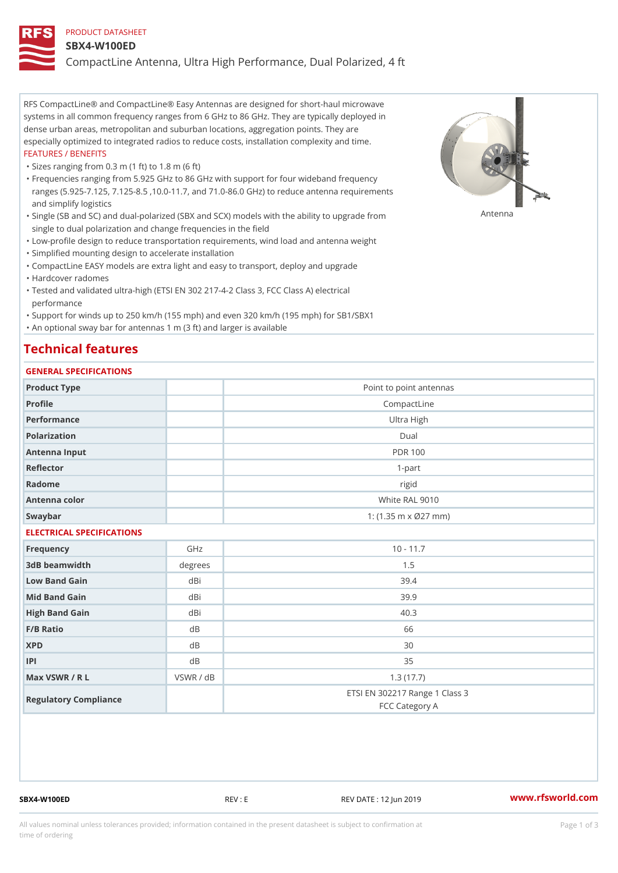### PRODUCT DATASHEET

#### SBX4-W100ED

CompactLine Antenna, Ultra High Performance, Dual Polarized, 4 ft

RFS CompactLine® and CompactLine® Easy Antennas are designed for short-haul microwave systems in all common frequency ranges from 6 GHz to 86 GHz. They are typically deployed in dense urban areas, metropolitan and suburban locations, aggregation points. They are especially optimized to integrated radios to reduce costs, installation complexity and time. FEATURES / BENEFITS

"Sizes ranging from 0.3 m (1 ft) to 1.8 m (6 ft)

Frequencies ranging from 5.925 GHz to 86 GHz with support for four wideband frequency " ranges (5.925-7.125, 7.125-8.5 ,10.0-11.7, and 71.0-86.0 GHz) to reduce antenna requirements and simplify logistics

"Single (SB and SC) and dual-polarized (SBX and SCX) models with the abili $\mathsf{f} \gamma^{\mathsf{n}} \mathsf{t} \mathsf{B}^{\mathsf{n}} \mathsf{u} \mathsf{p} \mathsf{B}$ grade from single to dual polarization and change frequencies in the field

"Low-profile design to reduce transportation requirements, wind load and antenna weight

"Simplified mounting design to accelerate installation

 "CompactLine EASY models are extra light and easy to transport, deploy and upgrade "Hardcover radomes

Tested and validated ultra-high (ETSI EN 302 217-4-2 Class 3, FCC Class A) electrical " performance

 "Support for winds up to 250 km/h (155 mph) and even 320 km/h (195 mph) for SB1/SBX1 "An optional sway bar for antennas 1 m (3 ft) and larger is available

# Technical features

## GENERAL SPECIFICATIONS

| GENERAL SELGIFICATIONS    |           |                                                  |  |  |
|---------------------------|-----------|--------------------------------------------------|--|--|
| Product Type              |           | Point to point antennas                          |  |  |
| Profile                   |           | CompactLine                                      |  |  |
| Performance               |           | Ultra High                                       |  |  |
| Polarization              |           | $D$ ual                                          |  |  |
| Antenna Input             |           | <b>PDR 100</b>                                   |  |  |
| Reflector                 |           | $1 - p$ art                                      |  |  |
| Radome                    |           | rigid                                            |  |  |
| Antenna color             |           | White RAL 9010                                   |  |  |
| Swaybar                   |           | 1: (1.35 m x Ø27 mm)                             |  |  |
| ELECTRICAL SPECIFICATIONS |           |                                                  |  |  |
| Frequency                 | GHz       | $10 - 11.7$                                      |  |  |
| 3dB beamwidth             | degree:   | 1.5                                              |  |  |
| Low Band Gain             | dBi       | 39.4                                             |  |  |
| Mid Band Gain             | dBi       | 39.9                                             |  |  |
| High Band Gain            | dBi       | 40.3                                             |  |  |
| F/B Ratio                 | d B       | 66                                               |  |  |
| <b>XPD</b>                | d B       | 30                                               |  |  |
| P                         | d B       | 35                                               |  |  |
| Max VSWR / R L            | VSWR / dB | 1.3(17.7)                                        |  |  |
| Regulatory Compliance     |           | ETSI EN 302217 Range 1 Class 3<br>FCC Category A |  |  |

SBX4-W100ED REV : E REV DATE : 12 Jun 2019 [www.](https://www.rfsworld.com)rfsworld.com

All values nominal unless tolerances provided; information contained in the present datasheet is subject to Pcapgeign mation time of ordering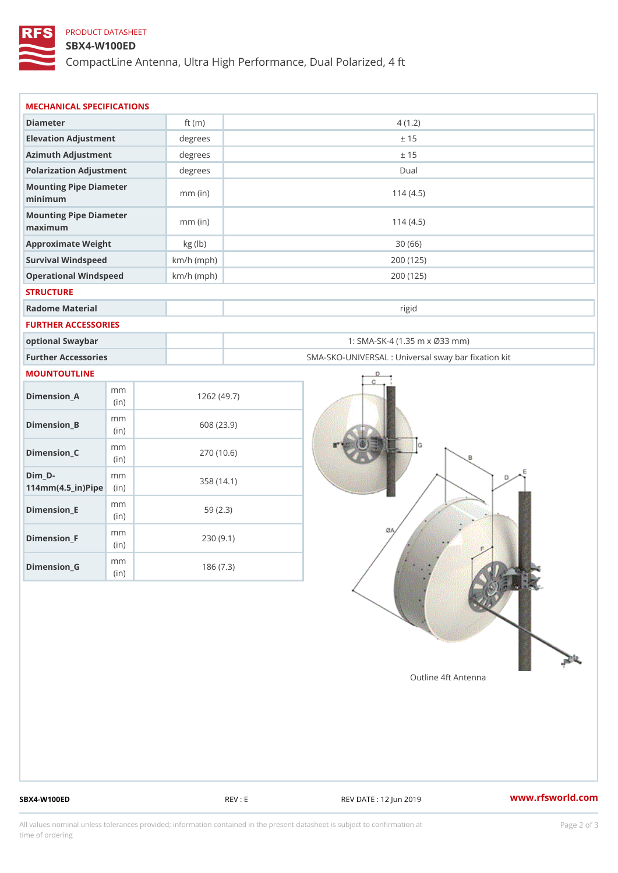# PRODUCT DATASHEET

### SBX4-W100ED

CompactLine Antenna, Ultra High Performance, Dual Polarized, 4 ft

| MECHANICAL SPECIFICATIONS                                  |              |                                                   |  |
|------------------------------------------------------------|--------------|---------------------------------------------------|--|
| Diameter                                                   | ft $(m)$     | 4(1.2)                                            |  |
| Elevation Adjustment                                       | degrees      | ± 15                                              |  |
| Azimuth Adjustment                                         | degrees      | ± 15                                              |  |
| Polarization Adjustment                                    | degrees      | Dual                                              |  |
| Mounting Pipe Diameter<br>minimum                          | $mm$ (in)    | 114(4.5)                                          |  |
| Mounting Pipe Diameter<br>maximum                          | $mm$ (in)    | 114(4.5)                                          |  |
| Approximate Weight                                         | kg (lb)      | 30(66)                                            |  |
| Survival Windspeed                                         | $km/h$ (mph) | 200 (125)                                         |  |
| Operational Windspeed                                      | $km/h$ (mph) | 200 (125)                                         |  |
| <b>STRUCTURE</b>                                           |              |                                                   |  |
| Radome Material                                            |              | rigid                                             |  |
| FURTHER ACCESSORIES                                        |              |                                                   |  |
| optional Swaybar                                           |              | 1: SMA-SK-4 (1.35 m x Ø33 mm)                     |  |
| Further Accessories                                        |              | SMA-SKO-UNIVERSAL : Universal sway bar fixation l |  |
| MOUNTOUTLINE                                               |              |                                                   |  |
| m m<br>$Dimension_A$<br>(in)                               |              | 1262(49.7)                                        |  |
| m m<br>$Dimension_B$<br>(i n)                              |              | 608 (23.9)                                        |  |
| m m<br>$Dimension_C$<br>(i n)                              |              | 270 (10.6)                                        |  |
| $Dim_D -$<br>m m<br>$114$ m m $(4.5$ _ ir $)$ $R$ ii p $e$ |              | 358 (14.1)                                        |  |
| m m<br>$Dimension$ = E<br>(in)                             |              | 59(2.3)                                           |  |
| m m<br>$Dimension_F$<br>(in)                               |              | 230(9.1)                                          |  |
| m m<br>$Diminension_G$                                     |              | 186(7.3)                                          |  |

SBX4-W100ED REV : E REV DATE : 12 Jun 2019 WWW.rfsworld.com

All values nominal unless tolerances provided; information contained in the present datasheet is subject to Pcapgelio an atio time of ordering